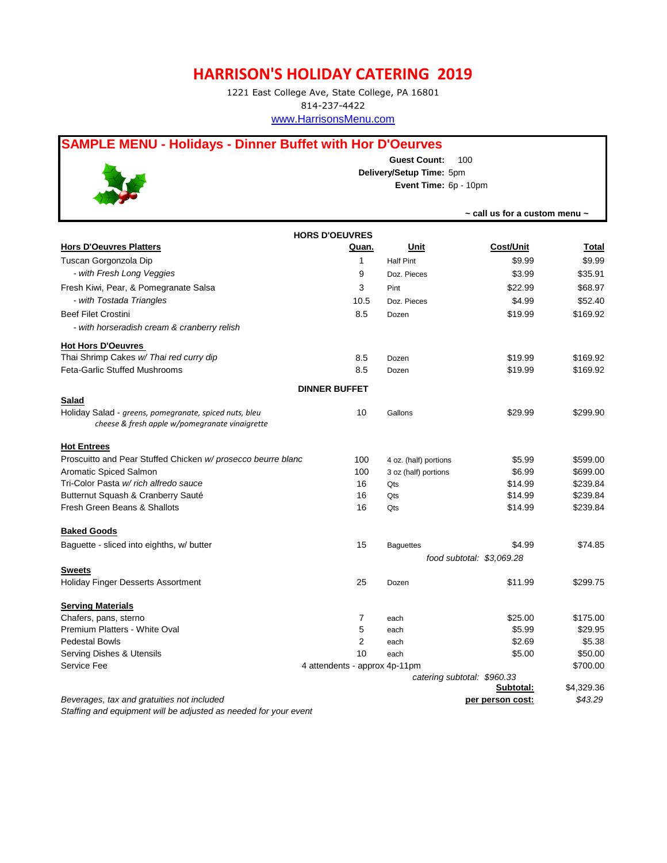## **HARRISON'S HOLIDAY CATERING 2019**

1221 East College Ave, State College, PA 16801 814-237-4422 www.HarrisonsMenu.com

## **SAMPLE MENU - Holidays - Dinner Buffet with Hor D'Oeurves**



**Guest Count:** 100 **Delivery/Setup Time:** 5pm **Event Time:** 6p - 10pm

|                                                                                                                          |                               |                           | $\sim$ call us for a custom menu $\sim$ |            |  |  |  |  |
|--------------------------------------------------------------------------------------------------------------------------|-------------------------------|---------------------------|-----------------------------------------|------------|--|--|--|--|
| <b>HORS D'OEUVRES</b>                                                                                                    |                               |                           |                                         |            |  |  |  |  |
| <b>Hors D'Oeuvres Platters</b>                                                                                           | Quan.                         | Unit                      | <b>Cost/Unit</b>                        | Total      |  |  |  |  |
| Tuscan Gorgonzola Dip                                                                                                    | 1                             | <b>Half Pint</b>          | \$9.99                                  | \$9.99     |  |  |  |  |
| - with Fresh Long Veggies                                                                                                | 9                             | Doz. Pieces               | \$3.99                                  | \$35.91    |  |  |  |  |
| Fresh Kiwi, Pear, & Pomegranate Salsa                                                                                    | 3                             | Pint                      | \$22.99                                 | \$68.97    |  |  |  |  |
| - with Tostada Triangles                                                                                                 | 10.5                          | Doz. Pieces               | \$4.99                                  | \$52.40    |  |  |  |  |
| <b>Beef Filet Crostini</b>                                                                                               | 8.5                           | Dozen                     | \$19.99                                 | \$169.92   |  |  |  |  |
| - with horseradish cream & cranberry relish                                                                              |                               |                           |                                         |            |  |  |  |  |
| <b>Hot Hors D'Oeuvres</b>                                                                                                |                               |                           |                                         |            |  |  |  |  |
| Thai Shrimp Cakes w/ Thai red curry dip                                                                                  | 8.5                           | Dozen                     | \$19.99                                 | \$169.92   |  |  |  |  |
| <b>Feta-Garlic Stuffed Mushrooms</b>                                                                                     | 8.5                           | Dozen                     | \$19.99                                 | \$169.92   |  |  |  |  |
|                                                                                                                          | <b>DINNER BUFFET</b>          |                           |                                         |            |  |  |  |  |
| <b>Salad</b><br>Holiday Salad - greens, pomegranate, spiced nuts, bleu<br>cheese & fresh apple w/pomegranate vinaigrette | 10                            | Gallons                   | \$29.99                                 | \$299.90   |  |  |  |  |
| <b>Hot Entrees</b>                                                                                                       |                               |                           |                                         |            |  |  |  |  |
| Proscuitto and Pear Stuffed Chicken w/ prosecco beurre blanc                                                             | 100                           | 4 oz. (half) portions     | \$5.99                                  | \$599.00   |  |  |  |  |
| Aromatic Spiced Salmon                                                                                                   | 100                           | 3 oz (half) portions      | \$6.99                                  | \$699.00   |  |  |  |  |
| Tri-Color Pasta w/ rich alfredo sauce                                                                                    | 16                            | Qts                       | \$14.99                                 | \$239.84   |  |  |  |  |
| Butternut Squash & Cranberry Sauté                                                                                       | 16                            | Qts                       | \$14.99                                 | \$239.84   |  |  |  |  |
| Fresh Green Beans & Shallots                                                                                             | 16                            | Qts                       | \$14.99                                 | \$239.84   |  |  |  |  |
| <b>Baked Goods</b>                                                                                                       |                               |                           |                                         |            |  |  |  |  |
| Baguette - sliced into eighths, w/ butter                                                                                | 15                            | <b>Baguettes</b>          | \$4.99                                  | \$74.85    |  |  |  |  |
|                                                                                                                          |                               | food subtotal: \$3,069.28 |                                         |            |  |  |  |  |
| <b>Sweets</b><br><b>Holiday Finger Desserts Assortment</b>                                                               | 25                            |                           | \$11.99                                 | \$299.75   |  |  |  |  |
|                                                                                                                          |                               | Dozen                     |                                         |            |  |  |  |  |
| <b>Serving Materials</b>                                                                                                 |                               |                           |                                         |            |  |  |  |  |
| Chafers, pans, sterno                                                                                                    | 7                             | each                      | \$25.00                                 | \$175.00   |  |  |  |  |
| Premium Platters - White Oval                                                                                            | 5                             | each                      | \$5.99                                  | \$29.95    |  |  |  |  |
| <b>Pedestal Bowls</b>                                                                                                    | $\overline{2}$                | each                      | \$2.69                                  | \$5.38     |  |  |  |  |
| Serving Dishes & Utensils                                                                                                | 10                            | each                      | \$5.00                                  | \$50.00    |  |  |  |  |
| Service Fee                                                                                                              | 4 attendents - approx 4p-11pm |                           |                                         | \$700.00   |  |  |  |  |
|                                                                                                                          |                               |                           | catering subtotal: \$960.33             |            |  |  |  |  |
|                                                                                                                          |                               |                           | Subtotal:                               | \$4,329.36 |  |  |  |  |
| Beverages, tax and gratuities not included<br>Staffing and equipment will be adjusted as needed for your event           |                               |                           | per person cost:                        | \$43.29    |  |  |  |  |
|                                                                                                                          |                               |                           |                                         |            |  |  |  |  |